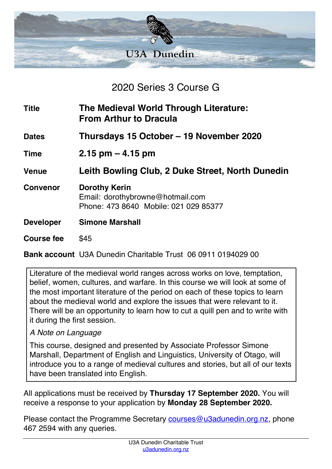

2020 Series 3 Course G

| <b>Title</b>      | The Medieval World Through Literature:<br><b>From Arthur to Dracula</b>                           |
|-------------------|---------------------------------------------------------------------------------------------------|
| <b>Dates</b>      | Thursdays 15 October – 19 November 2020                                                           |
| <b>Time</b>       | $2.15$ pm $-4.15$ pm                                                                              |
| <b>Venue</b>      | Leith Bowling Club, 2 Duke Street, North Dunedin                                                  |
| <b>Convenor</b>   | <b>Dorothy Kerin</b><br>Email: dorothybrowne@hotmail.com<br>Phone: 473 8640 Mobile: 021 029 85377 |
| <b>Developer</b>  | <b>Simone Marshall</b>                                                                            |
| <b>Course fee</b> | \$45                                                                                              |

**Bank account** U3A Dunedin Charitable Trust 06 0911 0194029 00

Literature of the medieval world ranges across works on love, temptation, belief, women, cultures, and warfare. In this course we will look at some of the most important literature of the period on each of these topics to learn about the medieval world and explore the issues that were relevant to it. There will be an opportunity to learn how to cut a quill pen and to write with it during the first session.

#### *A Note on Language*

This course, designed and presented by Associate Professor Simone Marshall, Department of English and Linguistics, University of Otago, will introduce you to a range of medieval cultures and stories, but all of our texts have been translated into English.

All applications must be received by **Thursday 17 September 2020.** You will receive a response to your application by **Monday 28 September 2020.**

Please contact the Programme Secretary courses@u3adunedin.org.nz, phone 467 2594 with any queries.